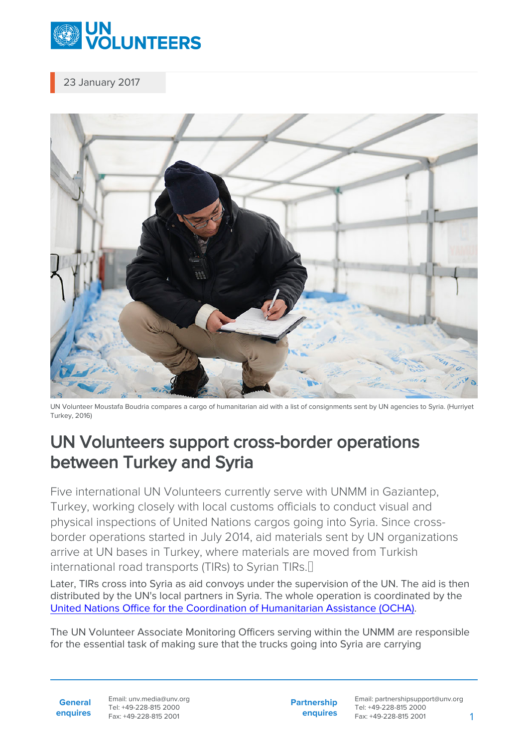

23 January 2017



UN Volunteer Moustafa Boudria compares a cargo of humanitarian aid with a list of consignments sent by UN agencies to Syria. (Hurriyet Turkey, 2016)

## UN Volunteers support cross-border operations between Turkey and Syria

Five international UN Volunteers currently serve with UNMM in Gaziantep, Turkey, working closely with local customs officials to conduct visual and physical inspections of United Nations cargos going into Syria. Since crossborder operations started in July 2014, aid materials sent by UN organizations arrive at UN bases in Turkey, where materials are moved from Turkish international road transports (TIRs) to Syrian TIRs.

Later, TIRs cross into Syria as aid convoys under the supervision of the UN. The aid is then distributed by the UN's local partners in Syria. The whole operation is coordinated by the [United Nations Office for the Coordination of Humanitarian Assistance \(OCHA\)](https://www.unocha.org/).

The UN Volunteer Associate Monitoring Officers serving within the UNMM are responsible for the essential task of making sure that the trucks going into Syria are carrying

**General enquires** Email: unv.media@unv.org Tel: +49-228-815 2000 Fax: +49-228-815 2001

**Partnership enquires** Email: partnershipsupport@unv.org Tel: +49-228-815 2000 Fax: +49-228-815 2001 1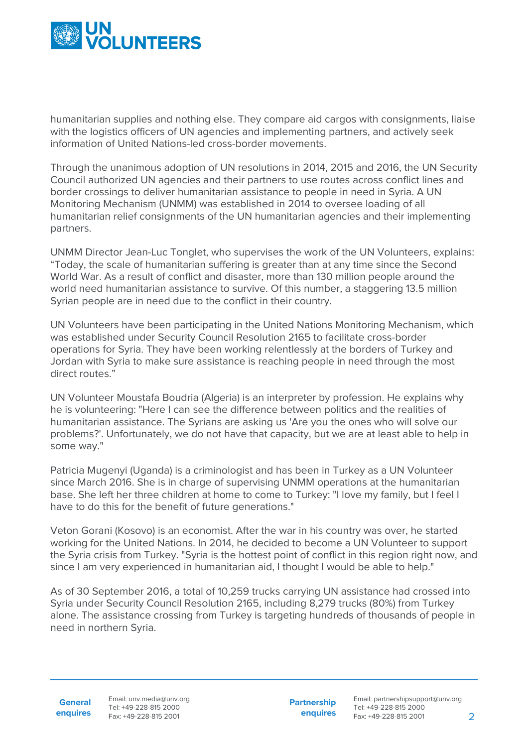

humanitarian supplies and nothing else. They compare aid cargos with consignments, liaise with the logistics officers of UN agencies and implementing partners, and actively seek information of United Nations-led cross-border movements.

Through the unanimous adoption of UN resolutions in 2014, 2015 and 2016, the UN Security Council authorized UN agencies and their partners to use routes across conflict lines and border crossings to deliver humanitarian assistance to people in need in Syria. A UN Monitoring Mechanism (UNMM) was established in 2014 to oversee loading of all humanitarian relief consignments of the UN humanitarian agencies and their implementing partners.

UNMM Director Jean-Luc Tonglet, who supervises the work of the UN Volunteers, explains: "Today, the scale of humanitarian suffering is greater than at any time since the Second World War. As a result of conflict and disaster, more than 130 million people around the world need humanitarian assistance to survive. Of this number, a staggering 13.5 million Syrian people are in need due to the conflict in their country.

UN Volunteers have been participating in the United Nations Monitoring Mechanism, which was established under Security Council Resolution 2165 to facilitate cross-border operations for Syria. They have been working relentlessly at the borders of Turkey and Jordan with Syria to make sure assistance is reaching people in need through the most direct routes."

UN Volunteer Moustafa Boudria (Algeria) is an interpreter by profession. He explains why he is volunteering: "Here I can see the difference between politics and the realities of humanitarian assistance. The Syrians are asking us 'Are you the ones who will solve our problems?'. Unfortunately, we do not have that capacity, but we are at least able to help in some way."

Patricia Mugenyi (Uganda) is a criminologist and has been in Turkey as a UN Volunteer since March 2016. She is in charge of supervising UNMM operations at the humanitarian base. She left her three children at home to come to Turkey: "I love my family, but I feel I have to do this for the benefit of future generations."

Veton Gorani (Kosovo) is an economist. After the war in his country was over, he started working for the United Nations. In 2014, he decided to become a UN Volunteer to support the Syria crisis from Turkey. "Syria is the hottest point of conflict in this region right now, and since I am very experienced in humanitarian aid, I thought I would be able to help."

As of 30 September 2016, a total of 10,259 trucks carrying UN assistance had crossed into Syria under Security Council Resolution 2165, including 8,279 trucks (80%) from Turkey alone. The assistance crossing from Turkey is targeting hundreds of thousands of people in need in northern Syria.

**General enquires** Email: unv.media@unv.org Tel: +49-228-815 2000 Fax: +49-228-815 2001

**Partnership enquires**